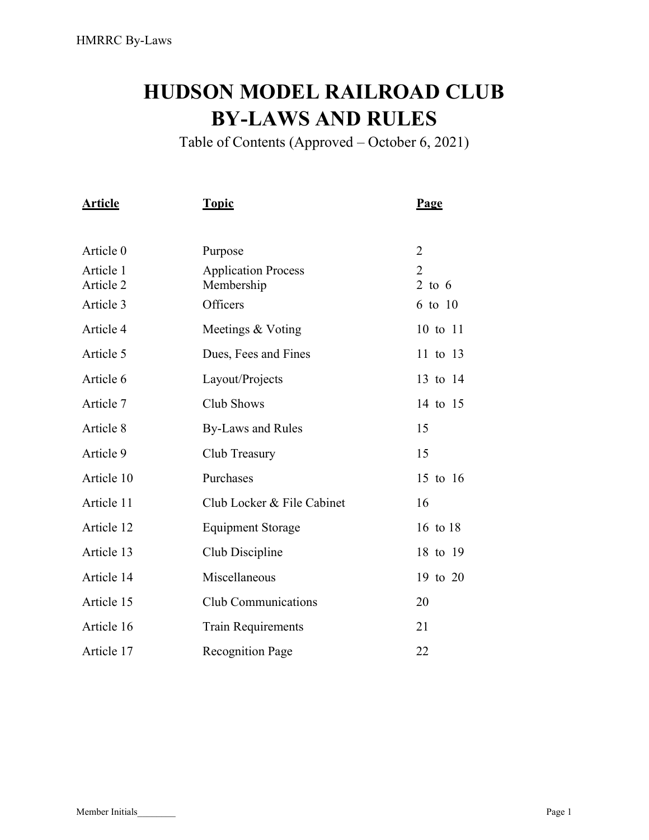# HUDSON MODEL RAILROAD CLUB BY-LAWS AND RULES

Table of Contents (Approved – October 6, 2021)

| <b>Article</b>         | <u>Topic</u>                             | <b>Page</b>    |
|------------------------|------------------------------------------|----------------|
| Article 0              | Purpose                                  | $\overline{2}$ |
| Article 1<br>Article 2 | <b>Application Process</b><br>Membership | 2<br>2 to $6$  |
| Article 3              | Officers                                 | 6 to 10        |
| Article 4              | Meetings & Voting                        | 10 to 11       |
| Article 5              | Dues, Fees and Fines                     | 11 to 13       |
| Article 6              | Layout/Projects                          | 13 to 14       |
| Article 7              | Club Shows                               | 14 to 15       |
| Article 8              | <b>By-Laws and Rules</b>                 | 15             |
| Article 9              | Club Treasury                            | 15             |
| Article 10             | Purchases                                | 15 to 16       |
| Article 11             | Club Locker & File Cabinet               | 16             |
| Article 12             | <b>Equipment Storage</b>                 | 16 to 18       |
| Article 13             | Club Discipline                          | 18 to 19       |
| Article 14             | Miscellaneous                            | 19 to 20       |
| Article 15             | <b>Club Communications</b>               | 20             |
| Article 16             | <b>Train Requirements</b>                | 21             |
| Article 17             | <b>Recognition Page</b>                  | 22             |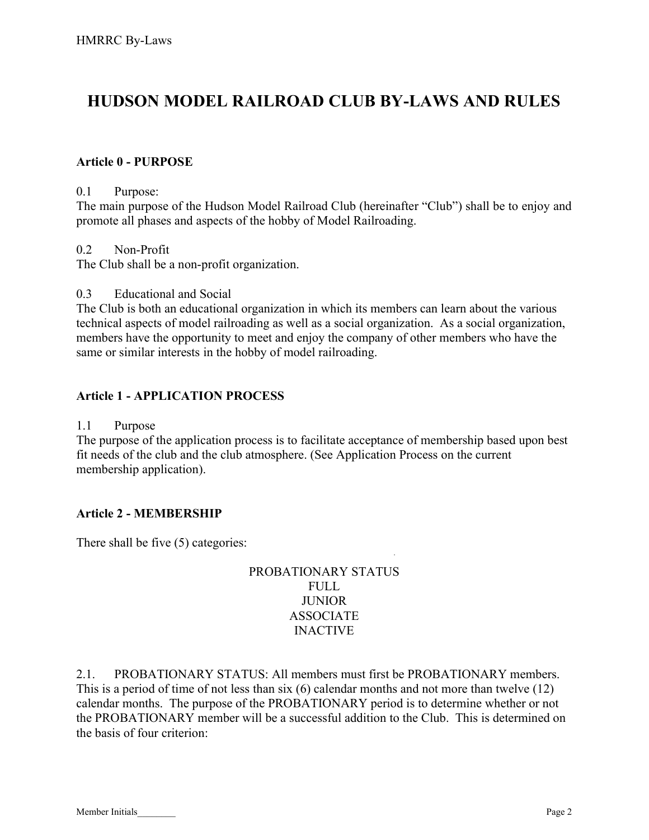# HUDSON MODEL RAILROAD CLUB BY-LAWS AND RULES

#### Article 0 - PURPOSE

#### 0.1 Purpose:

The main purpose of the Hudson Model Railroad Club (hereinafter "Club") shall be to enjoy and promote all phases and aspects of the hobby of Model Railroading.

#### 0.2 Non-Profit

The Club shall be a non-profit organization.

#### 0.3 Educational and Social

The Club is both an educational organization in which its members can learn about the various technical aspects of model railroading as well as a social organization. As a social organization, members have the opportunity to meet and enjoy the company of other members who have the same or similar interests in the hobby of model railroading.

#### Article 1 - APPLICATION PROCESS

#### 1.1 Purpose

The purpose of the application process is to facilitate acceptance of membership based upon best fit needs of the club and the club atmosphere. (See Application Process on the current membership application).

#### Article 2 - MEMBERSHIP

There shall be five (5) categories:

#### PROBATIONARY STATUS FULL **JUNIOR** ASSOCIATE INACTIVE

·

2.1. PROBATIONARY STATUS: All members must first be PROBATIONARY members. This is a period of time of not less than six (6) calendar months and not more than twelve (12) calendar months. The purpose of the PROBATIONARY period is to determine whether or not the PROBATIONARY member will be a successful addition to the Club. This is determined on the basis of four criterion: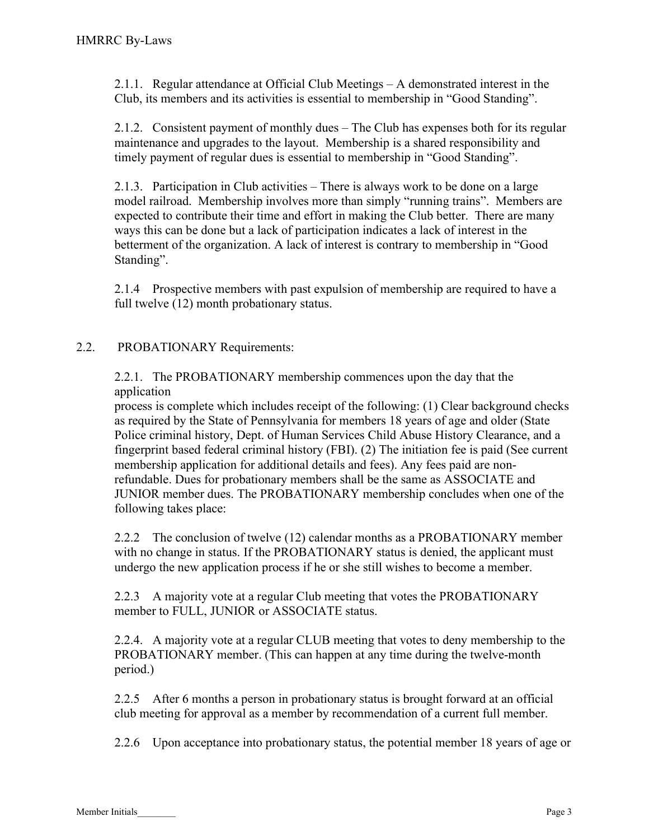2.1.1. Regular attendance at Official Club Meetings – A demonstrated interest in the Club, its members and its activities is essential to membership in "Good Standing".

2.1.2. Consistent payment of monthly dues – The Club has expenses both for its regular maintenance and upgrades to the layout. Membership is a shared responsibility and timely payment of regular dues is essential to membership in "Good Standing".

2.1.3. Participation in Club activities – There is always work to be done on a large model railroad. Membership involves more than simply "running trains". Members are expected to contribute their time and effort in making the Club better. There are many ways this can be done but a lack of participation indicates a lack of interest in the betterment of the organization. A lack of interest is contrary to membership in "Good Standing".

2.1.4 Prospective members with past expulsion of membership are required to have a full twelve (12) month probationary status.

#### 2.2. PROBATIONARY Requirements:

2.2.1. The PROBATIONARY membership commences upon the day that the application

process is complete which includes receipt of the following: (1) Clear background checks as required by the State of Pennsylvania for members 18 years of age and older (State Police criminal history, Dept. of Human Services Child Abuse History Clearance, and a fingerprint based federal criminal history (FBI). (2) The initiation fee is paid (See current membership application for additional details and fees). Any fees paid are nonrefundable. Dues for probationary members shall be the same as ASSOCIATE and JUNIOR member dues. The PROBATIONARY membership concludes when one of the following takes place:

2.2.2 The conclusion of twelve (12) calendar months as a PROBATIONARY member with no change in status. If the PROBATIONARY status is denied, the applicant must undergo the new application process if he or she still wishes to become a member.

2.2.3 A majority vote at a regular Club meeting that votes the PROBATIONARY member to FULL, JUNIOR or ASSOCIATE status.

2.2.4. A majority vote at a regular CLUB meeting that votes to deny membership to the PROBATIONARY member. (This can happen at any time during the twelve-month period.)

2.2.5 After 6 months a person in probationary status is brought forward at an official club meeting for approval as a member by recommendation of a current full member.

2.2.6 Upon acceptance into probationary status, the potential member 18 years of age or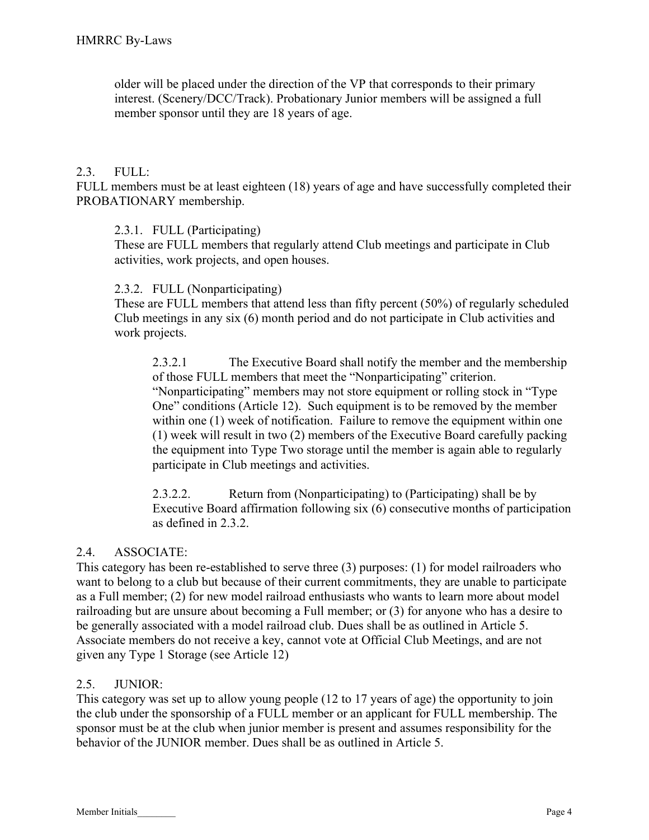older will be placed under the direction of the VP that corresponds to their primary interest. (Scenery/DCC/Track). Probationary Junior members will be assigned a full member sponsor until they are 18 years of age.

#### $2.3.$  FULL:

FULL members must be at least eighteen (18) years of age and have successfully completed their PROBATIONARY membership.

#### 2.3.1. FULL (Participating)

These are FULL members that regularly attend Club meetings and participate in Club activities, work projects, and open houses.

#### 2.3.2. FULL (Nonparticipating)

These are FULL members that attend less than fifty percent (50%) of regularly scheduled Club meetings in any six (6) month period and do not participate in Club activities and work projects.

2.3.2.1 The Executive Board shall notify the member and the membership of those FULL members that meet the "Nonparticipating" criterion. "Nonparticipating" members may not store equipment or rolling stock in "Type One" conditions (Article 12). Such equipment is to be removed by the member within one (1) week of notification. Failure to remove the equipment within one (1) week will result in two (2) members of the Executive Board carefully packing the equipment into Type Two storage until the member is again able to regularly participate in Club meetings and activities.

2.3.2.2. Return from (Nonparticipating) to (Participating) shall be by Executive Board affirmation following six (6) consecutive months of participation as defined in 2.3.2.

# 2.4. ASSOCIATE:

This category has been re-established to serve three (3) purposes: (1) for model railroaders who want to belong to a club but because of their current commitments, they are unable to participate as a Full member; (2) for new model railroad enthusiasts who wants to learn more about model railroading but are unsure about becoming a Full member; or (3) for anyone who has a desire to be generally associated with a model railroad club. Dues shall be as outlined in Article 5. Associate members do not receive a key, cannot vote at Official Club Meetings, and are not given any Type 1 Storage (see Article 12)

# 2.5. JUNIOR:

This category was set up to allow young people (12 to 17 years of age) the opportunity to join the club under the sponsorship of a FULL member or an applicant for FULL membership. The sponsor must be at the club when junior member is present and assumes responsibility for the behavior of the JUNIOR member. Dues shall be as outlined in Article 5.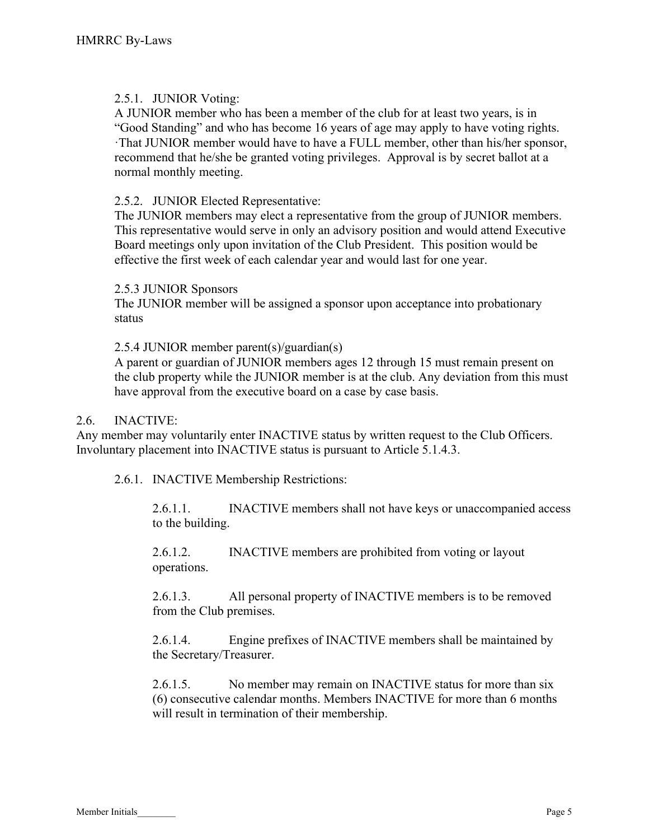#### 2.5.1. JUNIOR Voting:

A JUNIOR member who has been a member of the club for at least two years, is in "Good Standing" and who has become 16 years of age may apply to have voting rights. ·That JUNIOR member would have to have a FULL member, other than his/her sponsor, recommend that he/she be granted voting privileges. Approval is by secret ballot at a normal monthly meeting.

#### 2.5.2. JUNIOR Elected Representative:

The JUNIOR members may elect a representative from the group of JUNIOR members. This representative would serve in only an advisory position and would attend Executive Board meetings only upon invitation of the Club President. This position would be effective the first week of each calendar year and would last for one year.

#### 2.5.3 JUNIOR Sponsors

The JUNIOR member will be assigned a sponsor upon acceptance into probationary status

2.5.4 JUNIOR member parent(s)/guardian(s)

A parent or guardian of JUNIOR members ages 12 through 15 must remain present on the club property while the JUNIOR member is at the club. Any deviation from this must have approval from the executive board on a case by case basis.

#### 2.6. INACTIVE:

Any member may voluntarily enter INACTIVE status by written request to the Club Officers. Involuntary placement into INACTIVE status is pursuant to Article 5.1.4.3.

2.6.1. INACTIVE Membership Restrictions:

2.6.1.1. INACTIVE members shall not have keys or unaccompanied access to the building.

2.6.1.2. INACTIVE members are prohibited from voting or layout operations.

2.6.1.3. All personal property of INACTIVE members is to be removed from the Club premises.

2.6.1.4. Engine prefixes of INACTIVE members shall be maintained by the Secretary/Treasurer.

2.6.1.5. No member may remain on INACTIVE status for more than six (6) consecutive calendar months. Members INACTIVE for more than 6 months will result in termination of their membership.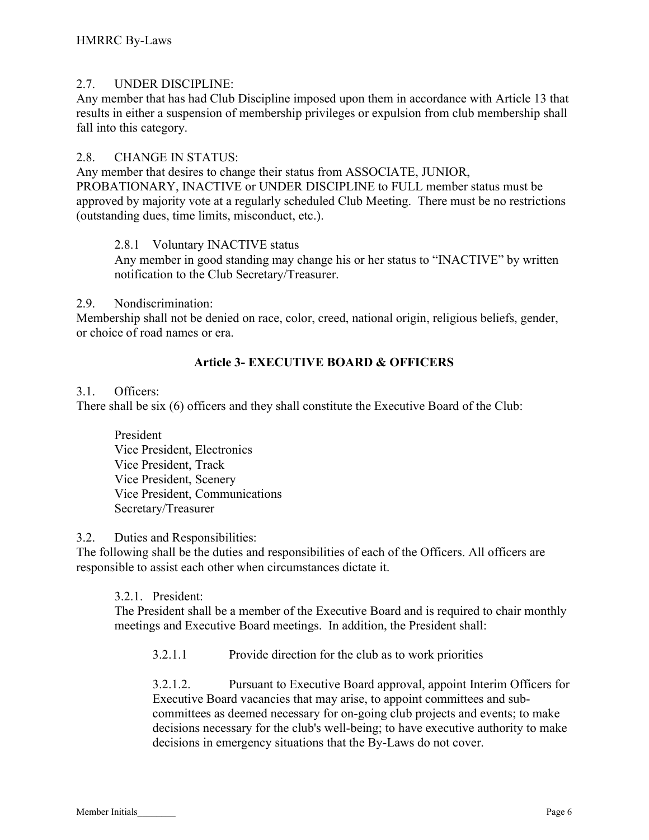#### 2.7. UNDER DISCIPLINE:

Any member that has had Club Discipline imposed upon them in accordance with Article 13 that results in either a suspension of membership privileges or expulsion from club membership shall fall into this category.

#### 2.8. CHANGE IN STATUS:

Any member that desires to change their status from ASSOCIATE, JUNIOR, PROBATIONARY, INACTIVE or UNDER DISCIPLINE to FULL member status must be approved by majority vote at a regularly scheduled Club Meeting. There must be no restrictions (outstanding dues, time limits, misconduct, etc.).

#### 2.8.1 Voluntary INACTIVE status

Any member in good standing may change his or her status to "INACTIVE" by written notification to the Club Secretary/Treasurer.

#### 2.9. Nondiscrimination:

Membership shall not be denied on race, color, creed, national origin, religious beliefs, gender, or choice of road names or era.

# Article 3- EXECUTIVE BOARD & OFFICERS

#### 3.1. Officers:

There shall be six (6) officers and they shall constitute the Executive Board of the Club:

President Vice President, Electronics Vice President, Track Vice President, Scenery Vice President, Communications Secretary/Treasurer

#### 3.2. Duties and Responsibilities:

The following shall be the duties and responsibilities of each of the Officers. All officers are responsible to assist each other when circumstances dictate it.

#### 3.2.1. President:

The President shall be a member of the Executive Board and is required to chair monthly meetings and Executive Board meetings. In addition, the President shall:

3.2.1.1 Provide direction for the club as to work priorities

3.2.1.2. Pursuant to Executive Board approval, appoint Interim Officers for Executive Board vacancies that may arise, to appoint committees and subcommittees as deemed necessary for on-going club projects and events; to make decisions necessary for the club's well-being; to have executive authority to make decisions in emergency situations that the By-Laws do not cover.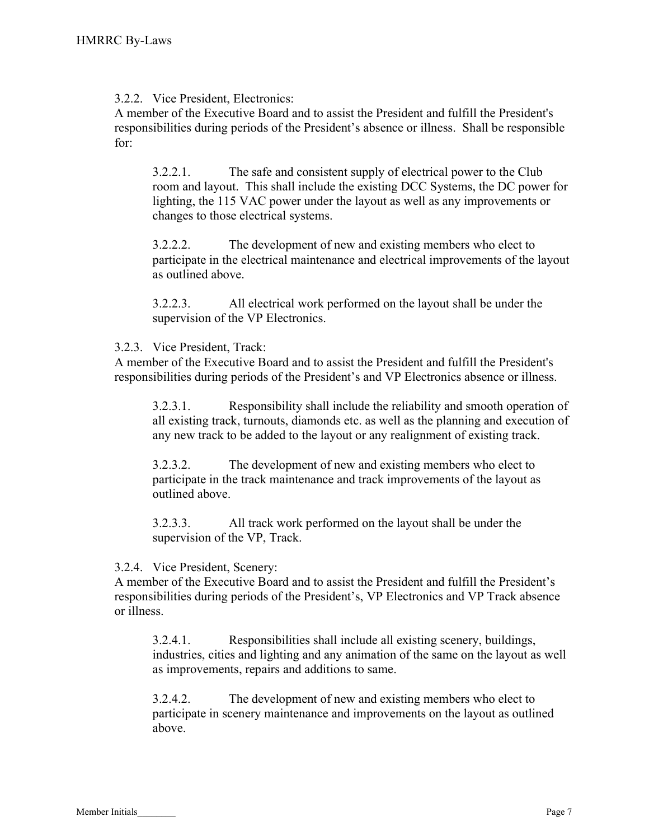3.2.2. Vice President, Electronics:

A member of the Executive Board and to assist the President and fulfill the President's responsibilities during periods of the President's absence or illness. Shall be responsible for:

3.2.2.1. The safe and consistent supply of electrical power to the Club room and layout. This shall include the existing DCC Systems, the DC power for lighting, the 115 VAC power under the layout as well as any improvements or changes to those electrical systems.

3.2.2.2. The development of new and existing members who elect to participate in the electrical maintenance and electrical improvements of the layout as outlined above.

3.2.2.3. All electrical work performed on the layout shall be under the supervision of the VP Electronics.

## 3.2.3. Vice President, Track:

A member of the Executive Board and to assist the President and fulfill the President's responsibilities during periods of the President's and VP Electronics absence or illness.

3.2.3.1. Responsibility shall include the reliability and smooth operation of all existing track, turnouts, diamonds etc. as well as the planning and execution of any new track to be added to the layout or any realignment of existing track.

3.2.3.2. The development of new and existing members who elect to participate in the track maintenance and track improvements of the layout as outlined above.

3.2.3.3. All track work performed on the layout shall be under the supervision of the VP, Track.

#### 3.2.4. Vice President, Scenery:

A member of the Executive Board and to assist the President and fulfill the President's responsibilities during periods of the President's, VP Electronics and VP Track absence or illness.

3.2.4.1. Responsibilities shall include all existing scenery, buildings, industries, cities and lighting and any animation of the same on the layout as well as improvements, repairs and additions to same.

3.2.4.2. The development of new and existing members who elect to participate in scenery maintenance and improvements on the layout as outlined above.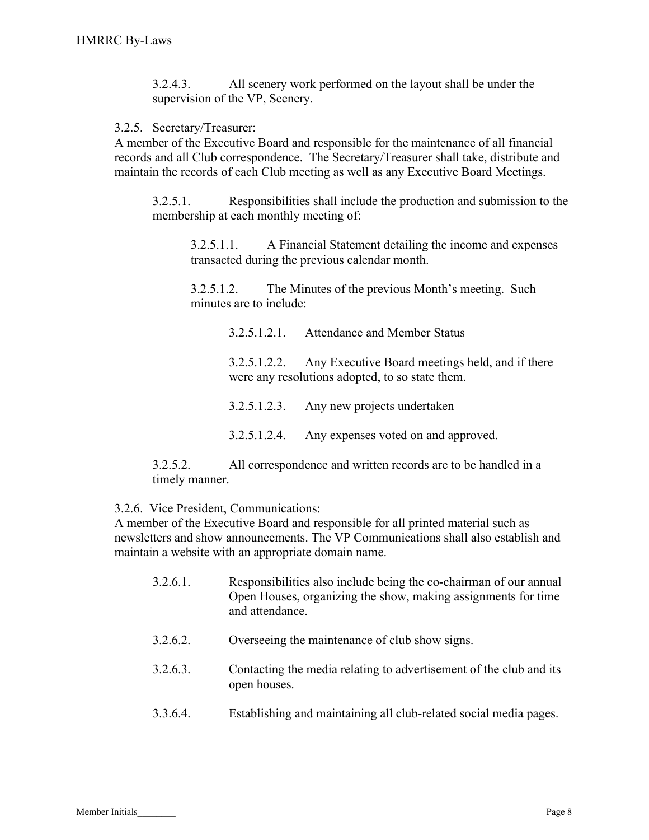3.2.4.3. All scenery work performed on the layout shall be under the supervision of the VP, Scenery.

3.2.5. Secretary/Treasurer:

A member of the Executive Board and responsible for the maintenance of all financial records and all Club correspondence. The Secretary/Treasurer shall take, distribute and maintain the records of each Club meeting as well as any Executive Board Meetings.

3.2.5.1. Responsibilities shall include the production and submission to the membership at each monthly meeting of:

3.2.5.1.1. A Financial Statement detailing the income and expenses transacted during the previous calendar month.

3.2.5.1.2. The Minutes of the previous Month's meeting. Such minutes are to include:

> 3.2.5.1.2.1. Attendance and Member Status 3.2.5.1.2.2. Any Executive Board meetings held, and if there were any resolutions adopted, to so state them. 3.2.5.1.2.3. Any new projects undertaken

3.2.5.1.2.4. Any expenses voted on and approved.

3.2.5.2. All correspondence and written records are to be handled in a timely manner.

3.2.6. Vice President, Communications:

A member of the Executive Board and responsible for all printed material such as newsletters and show announcements. The VP Communications shall also establish and maintain a website with an appropriate domain name.

- 3.2.6.1. Responsibilities also include being the co-chairman of our annual Open Houses, organizing the show, making assignments for time and attendance.
- 3.2.6.2. Overseeing the maintenance of club show signs.
- 3.2.6.3. Contacting the media relating to advertisement of the club and its open houses.
- 3.3.6.4. Establishing and maintaining all club-related social media pages.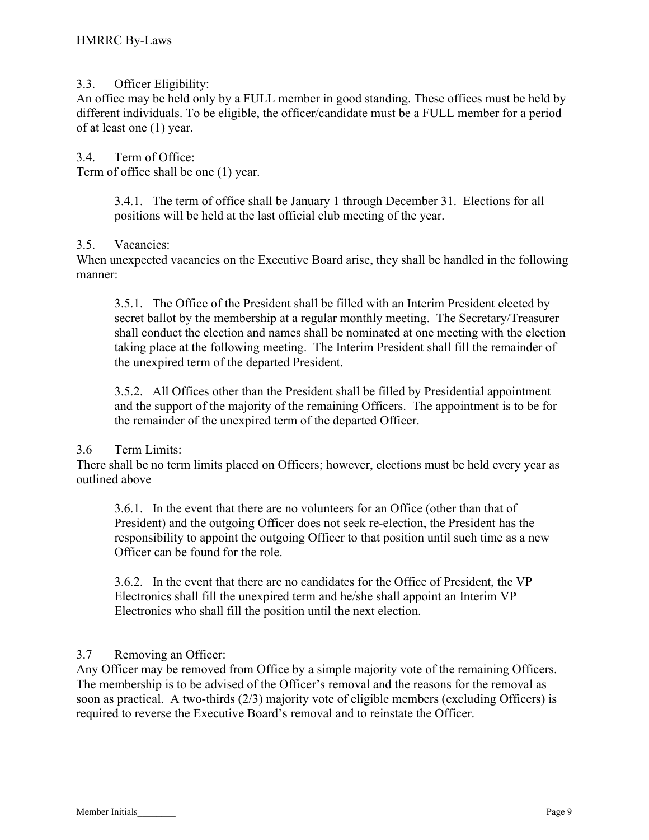#### 3.3. Officer Eligibility:

An office may be held only by a FULL member in good standing. These offices must be held by different individuals. To be eligible, the officer/candidate must be a FULL member for a period of at least one (1) year.

3.4. Term of Office: Term of office shall be one (1) year.

> 3.4.1. The term of office shall be January 1 through December 31. Elections for all positions will be held at the last official club meeting of the year.

#### 3.5. Vacancies:

When unexpected vacancies on the Executive Board arise, they shall be handled in the following manner:

3.5.1. The Office of the President shall be filled with an Interim President elected by secret ballot by the membership at a regular monthly meeting. The Secretary/Treasurer shall conduct the election and names shall be nominated at one meeting with the election taking place at the following meeting. The Interim President shall fill the remainder of the unexpired term of the departed President.

3.5.2. All Offices other than the President shall be filled by Presidential appointment and the support of the majority of the remaining Officers. The appointment is to be for the remainder of the unexpired term of the departed Officer.

#### 3.6 Term Limits:

There shall be no term limits placed on Officers; however, elections must be held every year as outlined above

3.6.1. In the event that there are no volunteers for an Office (other than that of President) and the outgoing Officer does not seek re-election, the President has the responsibility to appoint the outgoing Officer to that position until such time as a new Officer can be found for the role.

3.6.2. In the event that there are no candidates for the Office of President, the VP Electronics shall fill the unexpired term and he/she shall appoint an Interim VP Electronics who shall fill the position until the next election.

# 3.7 Removing an Officer:

Any Officer may be removed from Office by a simple majority vote of the remaining Officers. The membership is to be advised of the Officer's removal and the reasons for the removal as soon as practical. A two-thirds (2/3) majority vote of eligible members (excluding Officers) is required to reverse the Executive Board's removal and to reinstate the Officer.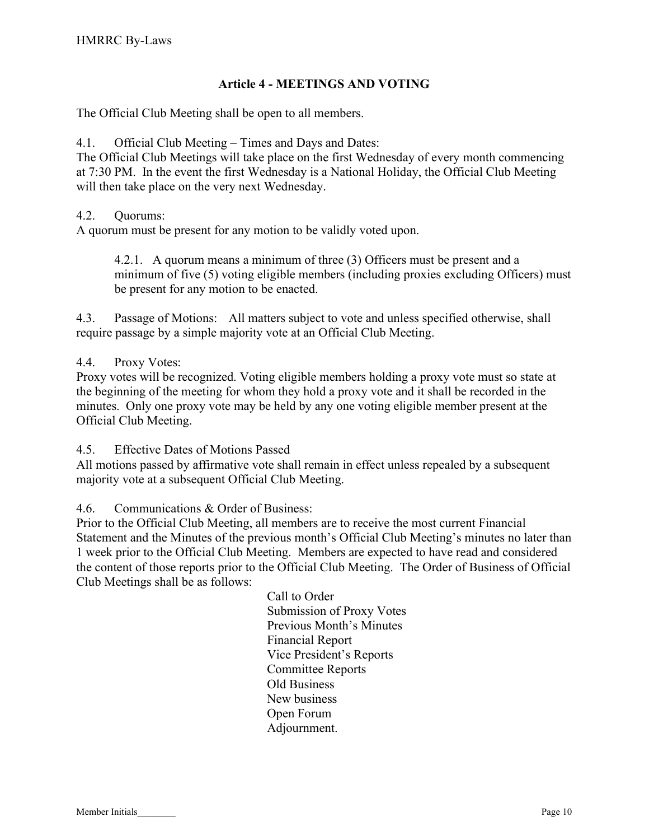# Article 4 - MEETINGS AND VOTING

The Official Club Meeting shall be open to all members.

#### 4.1. Official Club Meeting – Times and Days and Dates:

The Official Club Meetings will take place on the first Wednesday of every month commencing at 7:30 PM. In the event the first Wednesday is a National Holiday, the Official Club Meeting will then take place on the very next Wednesday.

#### 4.2. Quorums:

A quorum must be present for any motion to be validly voted upon.

4.2.1. A quorum means a minimum of three (3) Officers must be present and a minimum of five (5) voting eligible members (including proxies excluding Officers) must be present for any motion to be enacted.

4.3. Passage of Motions: All matters subject to vote and unless specified otherwise, shall require passage by a simple majority vote at an Official Club Meeting.

#### 4.4. Proxy Votes:

Proxy votes will be recognized. Voting eligible members holding a proxy vote must so state at the beginning of the meeting for whom they hold a proxy vote and it shall be recorded in the minutes. Only one proxy vote may be held by any one voting eligible member present at the Official Club Meeting.

4.5. Effective Dates of Motions Passed

All motions passed by affirmative vote shall remain in effect unless repealed by a subsequent majority vote at a subsequent Official Club Meeting.

4.6. Communications & Order of Business:

Prior to the Official Club Meeting, all members are to receive the most current Financial Statement and the Minutes of the previous month's Official Club Meeting's minutes no later than 1 week prior to the Official Club Meeting. Members are expected to have read and considered the content of those reports prior to the Official Club Meeting. The Order of Business of Official Club Meetings shall be as follows:

> Call to Order Submission of Proxy Votes Previous Month's Minutes Financial Report Vice President's Reports Committee Reports Old Business New business Open Forum Adjournment.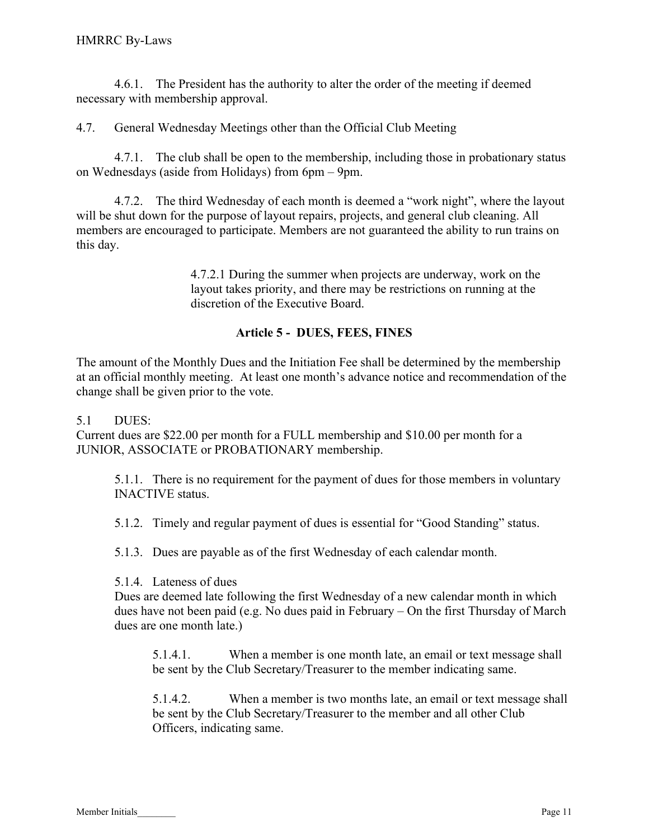4.6.1. The President has the authority to alter the order of the meeting if deemed necessary with membership approval.

4.7. General Wednesday Meetings other than the Official Club Meeting

 4.7.1. The club shall be open to the membership, including those in probationary status on Wednesdays (aside from Holidays) from 6pm – 9pm.

 4.7.2. The third Wednesday of each month is deemed a "work night", where the layout will be shut down for the purpose of layout repairs, projects, and general club cleaning. All members are encouraged to participate. Members are not guaranteed the ability to run trains on this day.

> 4.7.2.1 During the summer when projects are underway, work on the layout takes priority, and there may be restrictions on running at the discretion of the Executive Board.

#### Article 5 - DUES, FEES, FINES

The amount of the Monthly Dues and the Initiation Fee shall be determined by the membership at an official monthly meeting. At least one month's advance notice and recommendation of the change shall be given prior to the vote.

#### 5.1 DUES:

Current dues are \$22.00 per month for a FULL membership and \$10.00 per month for a JUNIOR, ASSOCIATE or PROBATIONARY membership.

5.1.1. There is no requirement for the payment of dues for those members in voluntary INACTIVE status.

5.1.2. Timely and regular payment of dues is essential for "Good Standing" status.

5.1.3. Dues are payable as of the first Wednesday of each calendar month.

5.1.4. Lateness of dues

Dues are deemed late following the first Wednesday of a new calendar month in which dues have not been paid (e.g. No dues paid in February – On the first Thursday of March dues are one month late.)

5.1.4.1. When a member is one month late, an email or text message shall be sent by the Club Secretary/Treasurer to the member indicating same.

5.1.4.2. When a member is two months late, an email or text message shall be sent by the Club Secretary/Treasurer to the member and all other Club Officers, indicating same.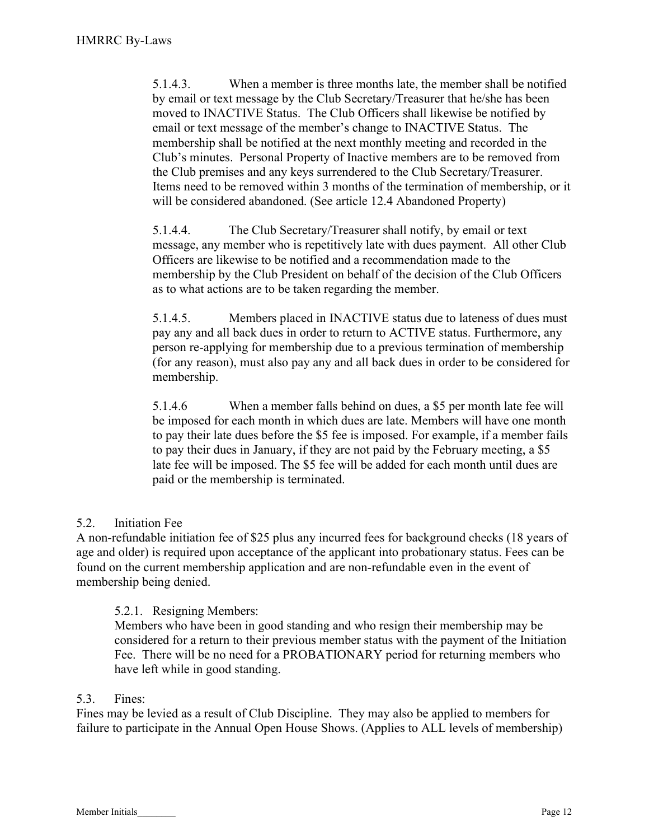5.1.4.3. When a member is three months late, the member shall be notified by email or text message by the Club Secretary/Treasurer that he/she has been moved to INACTIVE Status. The Club Officers shall likewise be notified by email or text message of the member's change to INACTIVE Status. The membership shall be notified at the next monthly meeting and recorded in the Club's minutes. Personal Property of Inactive members are to be removed from the Club premises and any keys surrendered to the Club Secretary/Treasurer. Items need to be removed within 3 months of the termination of membership, or it will be considered abandoned. (See article 12.4 Abandoned Property)

5.1.4.4. The Club Secretary/Treasurer shall notify, by email or text message, any member who is repetitively late with dues payment. All other Club Officers are likewise to be notified and a recommendation made to the membership by the Club President on behalf of the decision of the Club Officers as to what actions are to be taken regarding the member.

5.1.4.5. Members placed in INACTIVE status due to lateness of dues must pay any and all back dues in order to return to ACTIVE status. Furthermore, any person re-applying for membership due to a previous termination of membership (for any reason), must also pay any and all back dues in order to be considered for membership.

 5.1.4.6 When a member falls behind on dues, a \$5 per month late fee will be imposed for each month in which dues are late. Members will have one month to pay their late dues before the \$5 fee is imposed. For example, if a member fails to pay their dues in January, if they are not paid by the February meeting, a \$5 late fee will be imposed. The \$5 fee will be added for each month until dues are paid or the membership is terminated.

# 5.2. Initiation Fee

A non-refundable initiation fee of \$25 plus any incurred fees for background checks (18 years of age and older) is required upon acceptance of the applicant into probationary status. Fees can be found on the current membership application and are non-refundable even in the event of membership being denied.

#### 5.2.1. Resigning Members:

Members who have been in good standing and who resign their membership may be considered for a return to their previous member status with the payment of the Initiation Fee. There will be no need for a PROBATIONARY period for returning members who have left while in good standing.

#### 5.3. Fines:

Fines may be levied as a result of Club Discipline. They may also be applied to members for failure to participate in the Annual Open House Shows. (Applies to ALL levels of membership)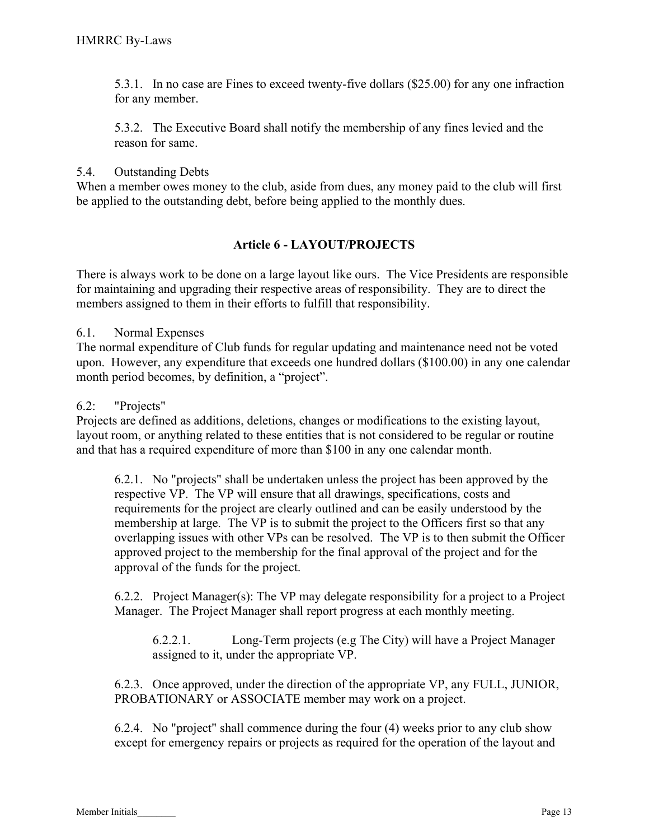5.3.1. In no case are Fines to exceed twenty-five dollars (\$25.00) for any one infraction for any member.

5.3.2. The Executive Board shall notify the membership of any fines levied and the reason for same.

#### 5.4. Outstanding Debts

When a member owes money to the club, aside from dues, any money paid to the club will first be applied to the outstanding debt, before being applied to the monthly dues.

#### Article 6 - LAYOUT/PROJECTS

There is always work to be done on a large layout like ours. The Vice Presidents are responsible for maintaining and upgrading their respective areas of responsibility. They are to direct the members assigned to them in their efforts to fulfill that responsibility.

6.1. Normal Expenses

The normal expenditure of Club funds for regular updating and maintenance need not be voted upon. However, any expenditure that exceeds one hundred dollars (\$100.00) in any one calendar month period becomes, by definition, a "project".

#### 6.2: "Projects"

Projects are defined as additions, deletions, changes or modifications to the existing layout, layout room, or anything related to these entities that is not considered to be regular or routine and that has a required expenditure of more than \$100 in any one calendar month.

6.2.1. No "projects" shall be undertaken unless the project has been approved by the respective VP. The VP will ensure that all drawings, specifications, costs and requirements for the project are clearly outlined and can be easily understood by the membership at large. The VP is to submit the project to the Officers first so that any overlapping issues with other VPs can be resolved. The VP is to then submit the Officer approved project to the membership for the final approval of the project and for the approval of the funds for the project.

6.2.2. Project Manager(s): The VP may delegate responsibility for a project to a Project Manager. The Project Manager shall report progress at each monthly meeting.

 6.2.2.1. Long-Term projects (e.g The City) will have a Project Manager assigned to it, under the appropriate VP.

6.2.3. Once approved, under the direction of the appropriate VP, any FULL, JUNIOR, PROBATIONARY or ASSOCIATE member may work on a project.

6.2.4. No "project" shall commence during the four (4) weeks prior to any club show except for emergency repairs or projects as required for the operation of the layout and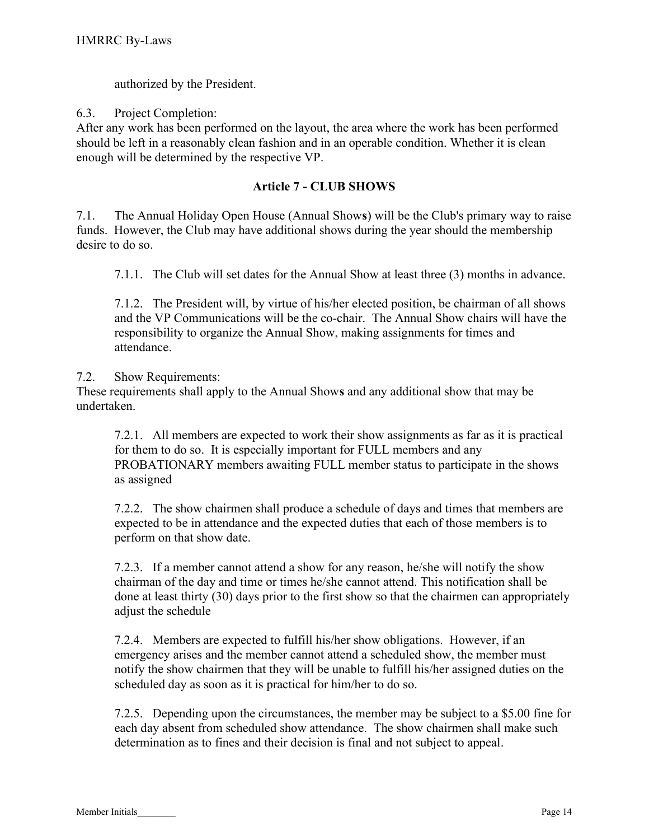authorized by the President.

6.3. Project Completion:

After any work has been performed on the layout, the area where the work has been performed should be left in a reasonably clean fashion and in an operable condition. Whether it is clean enough will be determined by the respective VP.

# Article 7 - CLUB SHOWS

7.1. The Annual Holiday Open House (Annual Shows) will be the Club's primary way to raise funds. However, the Club may have additional shows during the year should the membership desire to do so.

7.1.1. The Club will set dates for the Annual Show at least three (3) months in advance.

7.1.2. The President will, by virtue of his/her elected position, be chairman of all shows and the VP Communications will be the co-chair. The Annual Show chairs will have the responsibility to organize the Annual Show, making assignments for times and attendance.

7.2. Show Requirements:

These requirements shall apply to the Annual Shows and any additional show that may be undertaken.

7.2.1. All members are expected to work their show assignments as far as it is practical for them to do so. It is especially important for FULL members and any PROBATIONARY members awaiting FULL member status to participate in the shows as assigned

7.2.2. The show chairmen shall produce a schedule of days and times that members are expected to be in attendance and the expected duties that each of those members is to perform on that show date.

7.2.3. If a member cannot attend a show for any reason, he/she will notify the show chairman of the day and time or times he/she cannot attend. This notification shall be done at least thirty (30) days prior to the first show so that the chairmen can appropriately adjust the schedule

7.2.4. Members are expected to fulfill his/her show obligations. However, if an emergency arises and the member cannot attend a scheduled show, the member must notify the show chairmen that they will be unable to fulfill his/her assigned duties on the scheduled day as soon as it is practical for him/her to do so.

7.2.5. Depending upon the circumstances, the member may be subject to a \$5.00 fine for each day absent from scheduled show attendance. The show chairmen shall make such determination as to fines and their decision is final and not subject to appeal.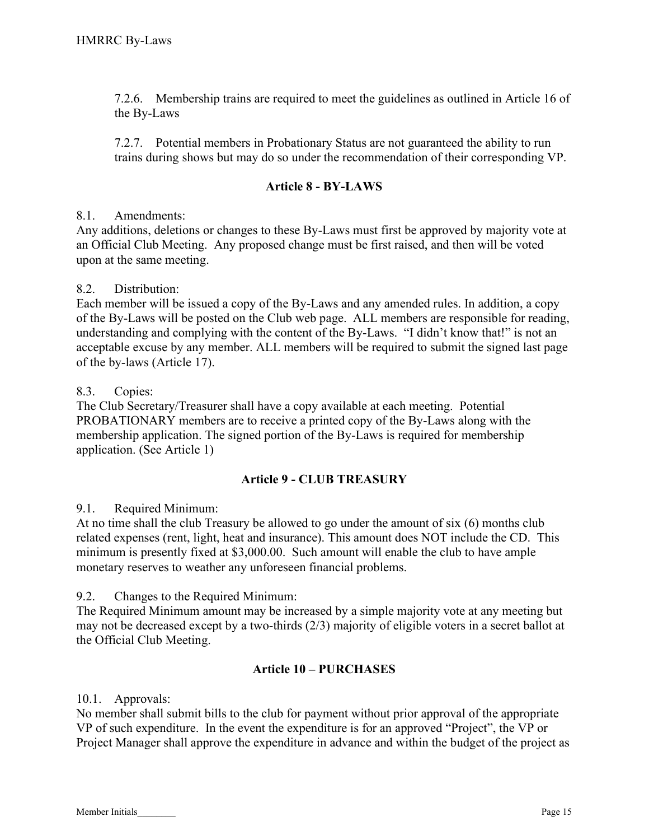7.2.6. Membership trains are required to meet the guidelines as outlined in Article 16 of the By-Laws

7.2.7. Potential members in Probationary Status are not guaranteed the ability to run trains during shows but may do so under the recommendation of their corresponding VP.

#### Article 8 - BY-LAWS

#### 8.1. Amendments:

Any additions, deletions or changes to these By-Laws must first be approved by majority vote at an Official Club Meeting. Any proposed change must be first raised, and then will be voted upon at the same meeting.

#### 8.2. Distribution:

Each member will be issued a copy of the By-Laws and any amended rules. In addition, a copy of the By-Laws will be posted on the Club web page. ALL members are responsible for reading, understanding and complying with the content of the By-Laws. "I didn't know that!" is not an acceptable excuse by any member. ALL members will be required to submit the signed last page of the by-laws (Article 17).

#### 8.3. Copies:

The Club Secretary/Treasurer shall have a copy available at each meeting. Potential PROBATIONARY members are to receive a printed copy of the By-Laws along with the membership application. The signed portion of the By-Laws is required for membership application. (See Article 1)

# Article 9 - CLUB TREASURY

#### 9.1. Required Minimum:

At no time shall the club Treasury be allowed to go under the amount of six (6) months club related expenses (rent, light, heat and insurance). This amount does NOT include the CD. This minimum is presently fixed at \$3,000.00. Such amount will enable the club to have ample monetary reserves to weather any unforeseen financial problems.

9.2. Changes to the Required Minimum:

The Required Minimum amount may be increased by a simple majority vote at any meeting but may not be decreased except by a two-thirds (2/3) majority of eligible voters in a secret ballot at the Official Club Meeting.

# Article 10 – PURCHASES

#### 10.1. Approvals:

No member shall submit bills to the club for payment without prior approval of the appropriate VP of such expenditure. In the event the expenditure is for an approved "Project", the VP or Project Manager shall approve the expenditure in advance and within the budget of the project as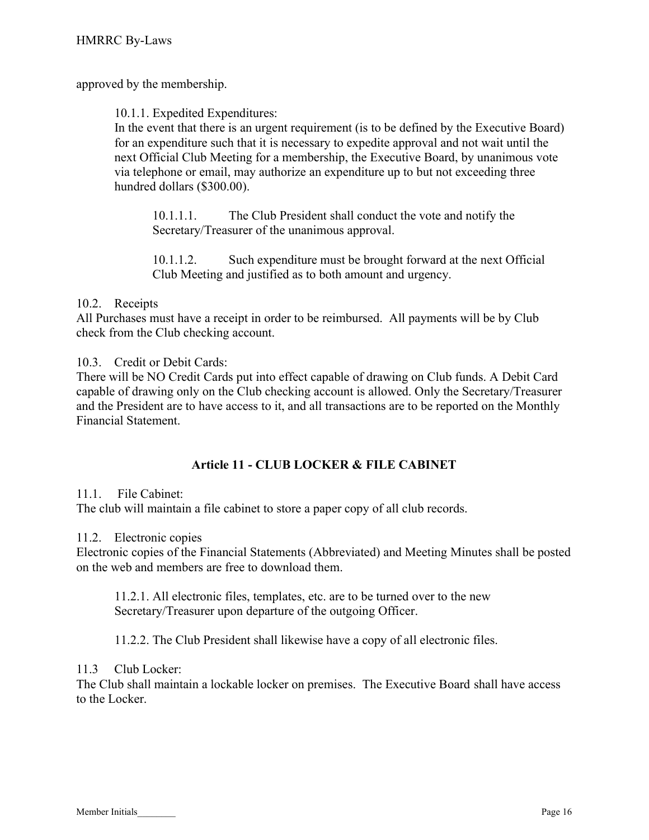approved by the membership.

10.1.1. Expedited Expenditures:

In the event that there is an urgent requirement (is to be defined by the Executive Board) for an expenditure such that it is necessary to expedite approval and not wait until the next Official Club Meeting for a membership, the Executive Board, by unanimous vote via telephone or email, may authorize an expenditure up to but not exceeding three hundred dollars (\$300.00).

10.1.1.1. The Club President shall conduct the vote and notify the Secretary/Treasurer of the unanimous approval.

10.1.1.2. Such expenditure must be brought forward at the next Official Club Meeting and justified as to both amount and urgency.

#### 10.2. Receipts

All Purchases must have a receipt in order to be reimbursed. All payments will be by Club check from the Club checking account.

10.3. Credit or Debit Cards:

There will be NO Credit Cards put into effect capable of drawing on Club funds. A Debit Card capable of drawing only on the Club checking account is allowed. Only the Secretary/Treasurer and the President are to have access to it, and all transactions are to be reported on the Monthly Financial Statement.

# Article 11 - CLUB LOCKER & FILE CABINET

#### 11.1. File Cabinet:

The club will maintain a file cabinet to store a paper copy of all club records.

#### 11.2. Electronic copies

Electronic copies of the Financial Statements (Abbreviated) and Meeting Minutes shall be posted on the web and members are free to download them.

11.2.1. All electronic files, templates, etc. are to be turned over to the new Secretary/Treasurer upon departure of the outgoing Officer.

11.2.2. The Club President shall likewise have a copy of all electronic files.

#### 11.3 Club Locker:

The Club shall maintain a lockable locker on premises. The Executive Board shall have access to the Locker.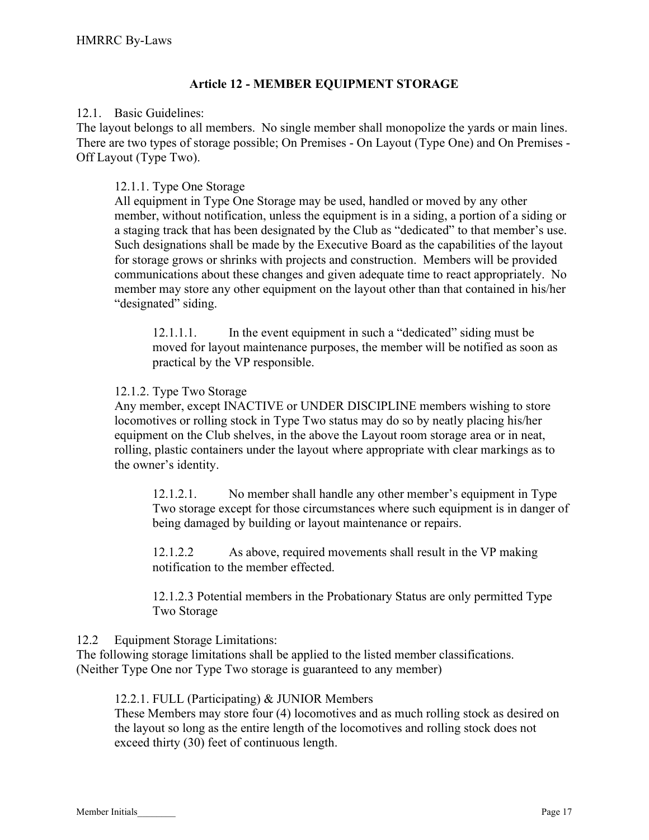# Article 12 - MEMBER EQUIPMENT STORAGE

#### 12.1. Basic Guidelines:

The layout belongs to all members. No single member shall monopolize the yards or main lines. There are two types of storage possible; On Premises - On Layout (Type One) and On Premises - Off Layout (Type Two).

#### 12.1.1. Type One Storage

All equipment in Type One Storage may be used, handled or moved by any other member, without notification, unless the equipment is in a siding, a portion of a siding or a staging track that has been designated by the Club as "dedicated" to that member's use. Such designations shall be made by the Executive Board as the capabilities of the layout for storage grows or shrinks with projects and construction. Members will be provided communications about these changes and given adequate time to react appropriately. No member may store any other equipment on the layout other than that contained in his/her "designated" siding.

12.1.1.1. In the event equipment in such a "dedicated" siding must be moved for layout maintenance purposes, the member will be notified as soon as practical by the VP responsible.

#### 12.1.2. Type Two Storage

Any member, except INACTIVE or UNDER DISCIPLINE members wishing to store locomotives or rolling stock in Type Two status may do so by neatly placing his/her equipment on the Club shelves, in the above the Layout room storage area or in neat, rolling, plastic containers under the layout where appropriate with clear markings as to the owner's identity.

12.1.2.1. No member shall handle any other member's equipment in Type Two storage except for those circumstances where such equipment is in danger of being damaged by building or layout maintenance or repairs.

12.1.2.2 As above, required movements shall result in the VP making notification to the member effected.

12.1.2.3 Potential members in the Probationary Status are only permitted Type Two Storage

#### 12.2 Equipment Storage Limitations:

The following storage limitations shall be applied to the listed member classifications. (Neither Type One nor Type Two storage is guaranteed to any member)

#### 12.2.1. FULL (Participating) & JUNIOR Members

These Members may store four (4) locomotives and as much rolling stock as desired on the layout so long as the entire length of the locomotives and rolling stock does not exceed thirty (30) feet of continuous length.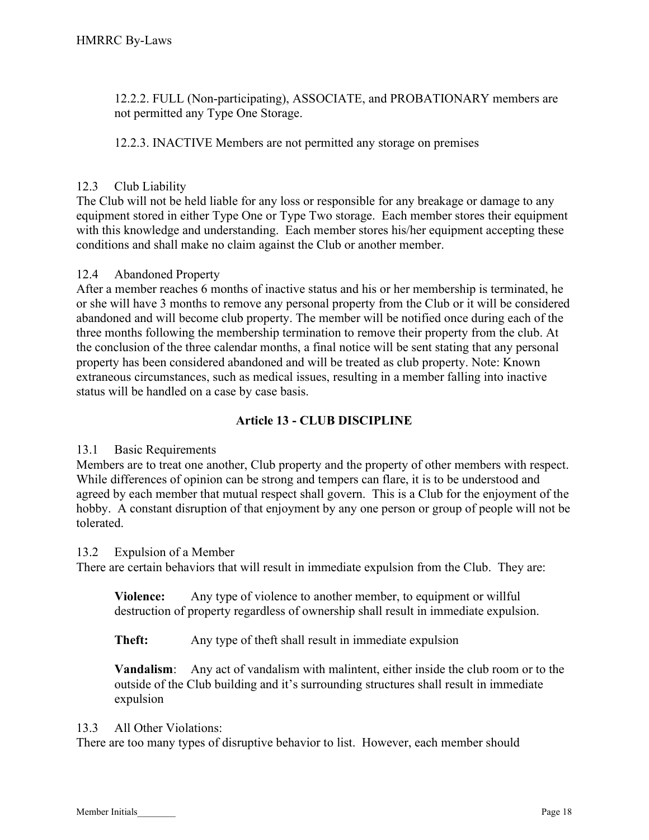12.2.2. FULL (Non-participating), ASSOCIATE, and PROBATIONARY members are not permitted any Type One Storage.

12.2.3. INACTIVE Members are not permitted any storage on premises

# 12.3 Club Liability

The Club will not be held liable for any loss or responsible for any breakage or damage to any equipment stored in either Type One or Type Two storage. Each member stores their equipment with this knowledge and understanding. Each member stores his/her equipment accepting these conditions and shall make no claim against the Club or another member.

#### 12.4 Abandoned Property

After a member reaches 6 months of inactive status and his or her membership is terminated, he or she will have 3 months to remove any personal property from the Club or it will be considered abandoned and will become club property. The member will be notified once during each of the three months following the membership termination to remove their property from the club. At the conclusion of the three calendar months, a final notice will be sent stating that any personal property has been considered abandoned and will be treated as club property. Note: Known extraneous circumstances, such as medical issues, resulting in a member falling into inactive status will be handled on a case by case basis.

# Article 13 - CLUB DISCIPLINE

#### 13.1 Basic Requirements

Members are to treat one another, Club property and the property of other members with respect. While differences of opinion can be strong and tempers can flare, it is to be understood and agreed by each member that mutual respect shall govern. This is a Club for the enjoyment of the hobby. A constant disruption of that enjoyment by any one person or group of people will not be tolerated.

#### 13.2 Expulsion of a Member

There are certain behaviors that will result in immediate expulsion from the Club. They are:

Violence: Any type of violence to another member, to equipment or willful destruction of property regardless of ownership shall result in immediate expulsion.

Theft: Any type of theft shall result in immediate expulsion

Vandalism: Any act of vandalism with malintent, either inside the club room or to the outside of the Club building and it's surrounding structures shall result in immediate expulsion

#### 13.3 All Other Violations:

There are too many types of disruptive behavior to list. However, each member should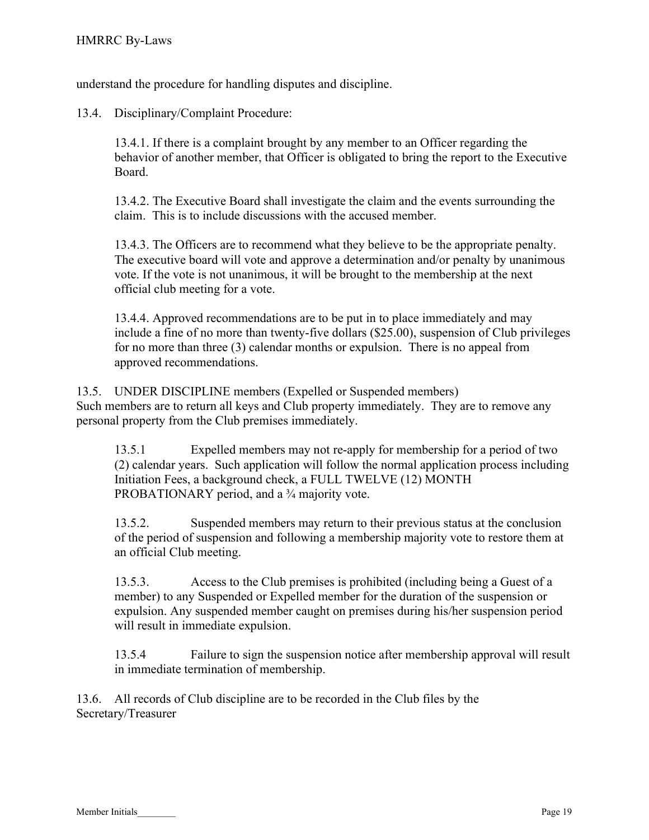understand the procedure for handling disputes and discipline.

13.4. Disciplinary/Complaint Procedure:

13.4.1. If there is a complaint brought by any member to an Officer regarding the behavior of another member, that Officer is obligated to bring the report to the Executive Board.

13.4.2. The Executive Board shall investigate the claim and the events surrounding the claim. This is to include discussions with the accused member.

13.4.3. The Officers are to recommend what they believe to be the appropriate penalty. The executive board will vote and approve a determination and/or penalty by unanimous vote. If the vote is not unanimous, it will be brought to the membership at the next official club meeting for a vote.

13.4.4. Approved recommendations are to be put in to place immediately and may include a fine of no more than twenty-five dollars (\$25.00), suspension of Club privileges for no more than three (3) calendar months or expulsion. There is no appeal from approved recommendations.

13.5. UNDER DISCIPLINE members (Expelled or Suspended members) Such members are to return all keys and Club property immediately. They are to remove any personal property from the Club premises immediately.

13.5.1 Expelled members may not re-apply for membership for a period of two (2) calendar years. Such application will follow the normal application process including Initiation Fees, a background check, a FULL TWELVE (12) MONTH PROBATIONARY period, and a <sup>3</sup>/<sub>4</sub> majority vote.

13.5.2. Suspended members may return to their previous status at the conclusion of the period of suspension and following a membership majority vote to restore them at an official Club meeting.

13.5.3. Access to the Club premises is prohibited (including being a Guest of a member) to any Suspended or Expelled member for the duration of the suspension or expulsion. Any suspended member caught on premises during his/her suspension period will result in immediate expulsion.

13.5.4 Failure to sign the suspension notice after membership approval will result in immediate termination of membership.

13.6. All records of Club discipline are to be recorded in the Club files by the Secretary/Treasurer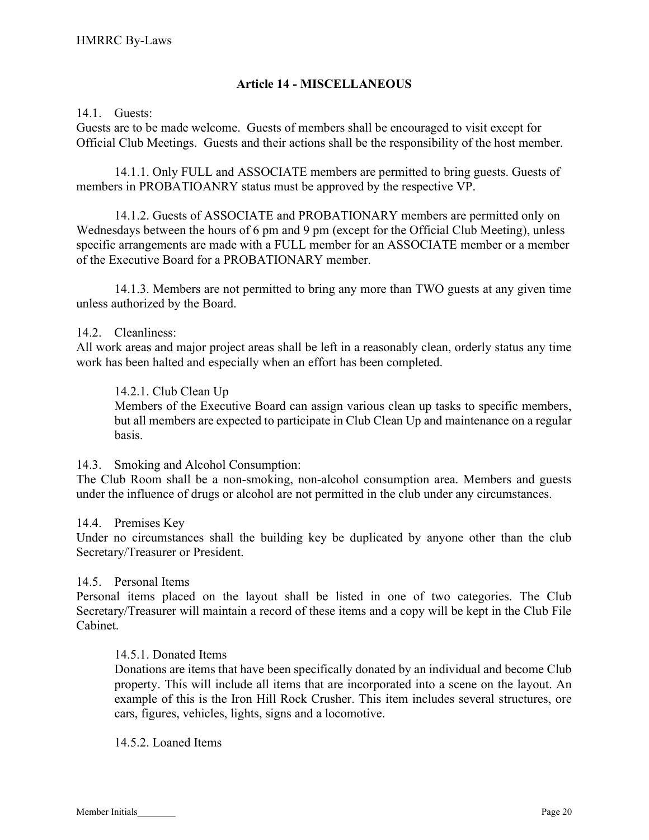#### Article 14 - MISCELLANEOUS

#### 14.1. Guests:

Guests are to be made welcome. Guests of members shall be encouraged to visit except for Official Club Meetings. Guests and their actions shall be the responsibility of the host member.

 14.1.1. Only FULL and ASSOCIATE members are permitted to bring guests. Guests of members in PROBATIOANRY status must be approved by the respective VP.

 14.1.2. Guests of ASSOCIATE and PROBATIONARY members are permitted only on Wednesdays between the hours of 6 pm and 9 pm (except for the Official Club Meeting), unless specific arrangements are made with a FULL member for an ASSOCIATE member or a member of the Executive Board for a PROBATIONARY member.

 14.1.3. Members are not permitted to bring any more than TWO guests at any given time unless authorized by the Board.

#### 14.2. Cleanliness:

All work areas and major project areas shall be left in a reasonably clean, orderly status any time work has been halted and especially when an effort has been completed.

#### 14.2.1. Club Clean Up

Members of the Executive Board can assign various clean up tasks to specific members, but all members are expected to participate in Club Clean Up and maintenance on a regular basis.

#### 14.3. Smoking and Alcohol Consumption:

The Club Room shall be a non-smoking, non-alcohol consumption area. Members and guests under the influence of drugs or alcohol are not permitted in the club under any circumstances.

#### 14.4. Premises Key

Under no circumstances shall the building key be duplicated by anyone other than the club Secretary/Treasurer or President.

#### 14.5. Personal Items

Personal items placed on the layout shall be listed in one of two categories. The Club Secretary/Treasurer will maintain a record of these items and a copy will be kept in the Club File Cabinet.

#### 14.5.1. Donated Items

Donations are items that have been specifically donated by an individual and become Club property. This will include all items that are incorporated into a scene on the layout. An example of this is the Iron Hill Rock Crusher. This item includes several structures, ore cars, figures, vehicles, lights, signs and a locomotive.

#### 14.5.2. Loaned Items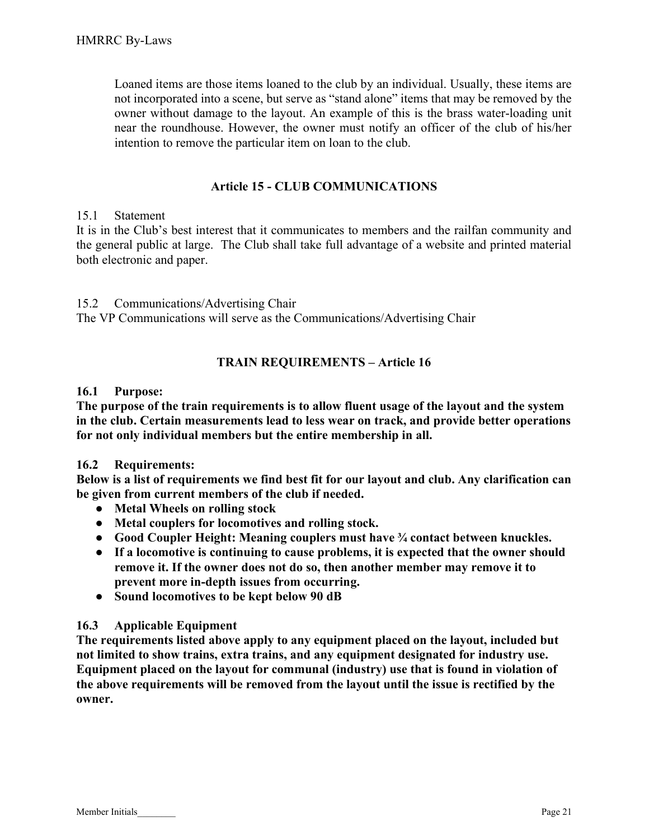Loaned items are those items loaned to the club by an individual. Usually, these items are not incorporated into a scene, but serve as "stand alone" items that may be removed by the owner without damage to the layout. An example of this is the brass water-loading unit near the roundhouse. However, the owner must notify an officer of the club of his/her intention to remove the particular item on loan to the club.

#### Article 15 - CLUB COMMUNICATIONS

#### 15.1 Statement

It is in the Club's best interest that it communicates to members and the railfan community and the general public at large. The Club shall take full advantage of a website and printed material both electronic and paper.

15.2 Communications/Advertising Chair The VP Communications will serve as the Communications/Advertising Chair

#### TRAIN REQUIREMENTS – Article 16

#### 16.1 Purpose:

The purpose of the train requirements is to allow fluent usage of the layout and the system in the club. Certain measurements lead to less wear on track, and provide better operations for not only individual members but the entire membership in all.

#### 16.2 Requirements:

Below is a list of requirements we find best fit for our layout and club. Any clarification can be given from current members of the club if needed.

- Metal Wheels on rolling stock
- Metal couplers for locomotives and rolling stock.
- Good Coupler Height: Meaning couplers must have ¼ contact between knuckles.
- If a locomotive is continuing to cause problems, it is expected that the owner should remove it. If the owner does not do so, then another member may remove it to prevent more in-depth issues from occurring.
- Sound locomotives to be kept below 90 dB

#### 16.3 Applicable Equipment

The requirements listed above apply to any equipment placed on the layout, included but not limited to show trains, extra trains, and any equipment designated for industry use. Equipment placed on the layout for communal (industry) use that is found in violation of the above requirements will be removed from the layout until the issue is rectified by the owner.